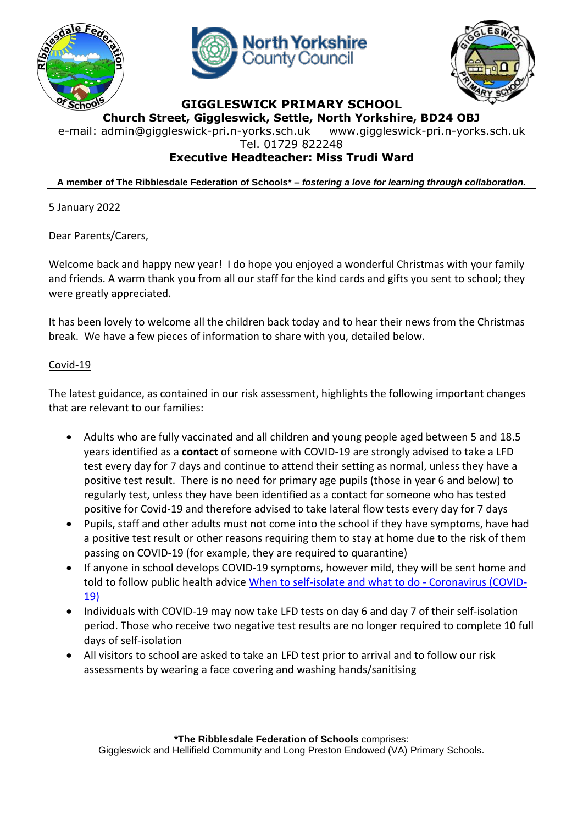





## **GIGGLESWICK PRIMARY SCHOOL**

**Church Street, Giggleswick, Settle, North Yorkshire, BD24 OBJ** e-mail: [admin@giggleswick-pri.n-yorks.sch.uk](mailto:admin@giggleswick-pri.n-yorks.sch.uk) www.giggleswick-pri.n-yorks.sch.uk

Tel. 01729 822248

## **Executive Headteacher: Miss Trudi Ward**

**A member of The Ribblesdale Federation of Schools\* –** *fostering a love for learning through collaboration.*

5 January 2022

Dear Parents/Carers,

Welcome back and happy new year! I do hope you enjoyed a wonderful Christmas with your family and friends. A warm thank you from all our staff for the kind cards and gifts you sent to school; they were greatly appreciated.

It has been lovely to welcome all the children back today and to hear their news from the Christmas break. We have a few pieces of information to share with you, detailed below.

## Covid-19

The latest guidance, as contained in our risk assessment, highlights the following important changes that are relevant to our families:

- Adults who are fully vaccinated and all children and young people aged between 5 and 18.5 years identified as a **contact** of someone with COVID-19 are strongly advised to take a LFD test every day for 7 days and continue to attend their setting as normal, unless they have a positive test result. There is no need for primary age pupils (those in year 6 and below) to regularly test, unless they have been identified as a contact for someone who has tested positive for Covid-19 and therefore advised to take lateral flow tests every day for 7 days
- Pupils, staff and other adults must not come into the school if they have symptoms, have had a positive test result or other reasons requiring them to stay at home due to the risk of them passing on COVID-19 (for example, they are required to quarantine)
- If anyone in school develops COVID-19 symptoms, however mild, they will be sent home and told to follow public health advice [When to self-isolate and what to do -](https://www.nhs.uk/conditions/coronavirus-covid-19/self-isolation-and-treatment/when-to-self-isolate-and-what-to-do/) Coronavirus (COVID-[19\)](https://www.nhs.uk/conditions/coronavirus-covid-19/self-isolation-and-treatment/when-to-self-isolate-and-what-to-do/)
- Individuals with COVID-19 may now take LFD tests on day 6 and day 7 of their self-isolation period. Those who receive two negative test results are no longer required to complete 10 full days of self-isolation
- All visitors to school are asked to take an LFD test prior to arrival and to follow our risk assessments by wearing a face covering and washing hands/sanitising